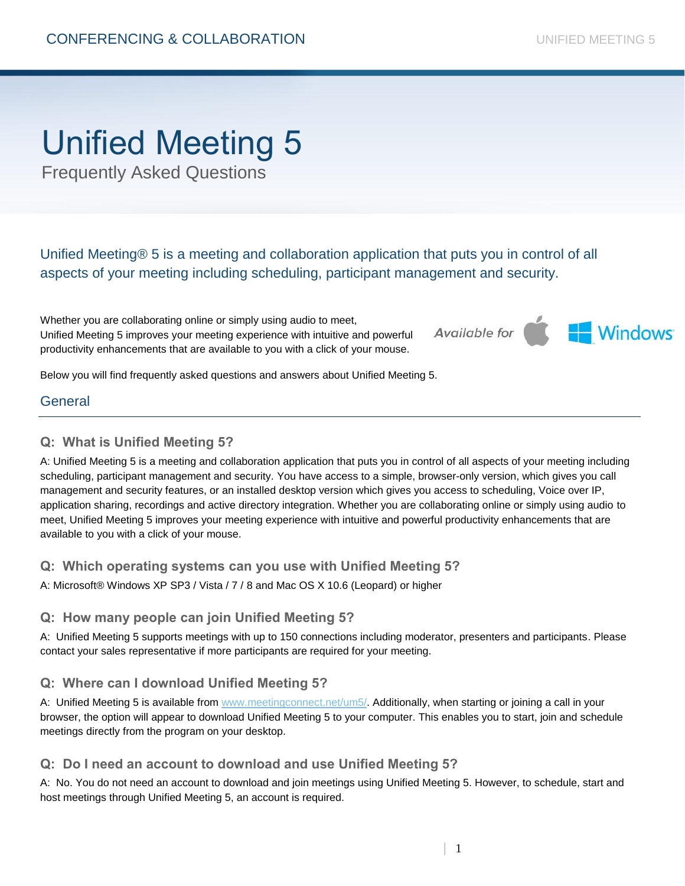# Unified Meeting 5

Frequently Asked Questions

Unified Meeting® 5 is a meeting and collaboration application that puts you in control of all aspects of your meeting including scheduling, participant management and security.

Whether you are collaborating online or simply using audio to meet, Unified Meeting 5 improves your meeting experience with intuitive and powerful productivity enhancements that are available to you with a click of your mouse.

**Available for** 



Below you will find frequently asked questions and answers about Unified Meeting 5.

## General

## **Q: What is Unified Meeting 5?**

A: Unified Meeting 5 is a meeting and collaboration application that puts you in control of all aspects of your meeting including scheduling, participant management and security. You have access to a simple, browser-only version, which gives you call management and security features, or an installed desktop version which gives you access to scheduling, Voice over IP, application sharing, recordings and active directory integration. Whether you are collaborating online or simply using audio to meet, Unified Meeting 5 improves your meeting experience with intuitive and powerful productivity enhancements that are available to you with a click of your mouse.

### **Q: Which operating systems can you use with Unified Meeting 5?**

A: Microsoft® Windows XP SP3 / Vista / 7 / 8 and Mac OS X 10.6 (Leopard) or higher

## **Q: How many people can join Unified Meeting 5?**

A: Unified Meeting 5 supports meetings with up to 150 connections including moderator, presenters and participants. Please contact your sales representative if more participants are required for your meeting.

## **Q: Where can I download Unified Meeting 5?**

A: Unified Meeting 5 is available from [www.meetingconnect.net/um5/.](http://www.meetingconnect.net/um5/) Additionally, when starting or joining a call in your browser, the option will appear to download Unified Meeting 5 to your computer. This enables you to start, join and schedule meetings directly from the program on your desktop.

### **Q: Do I need an account to download and use Unified Meeting 5?**

A: No. You do not need an account to download and join meetings using Unified Meeting 5. However, to schedule, start and host meetings through Unified Meeting 5, an account is required.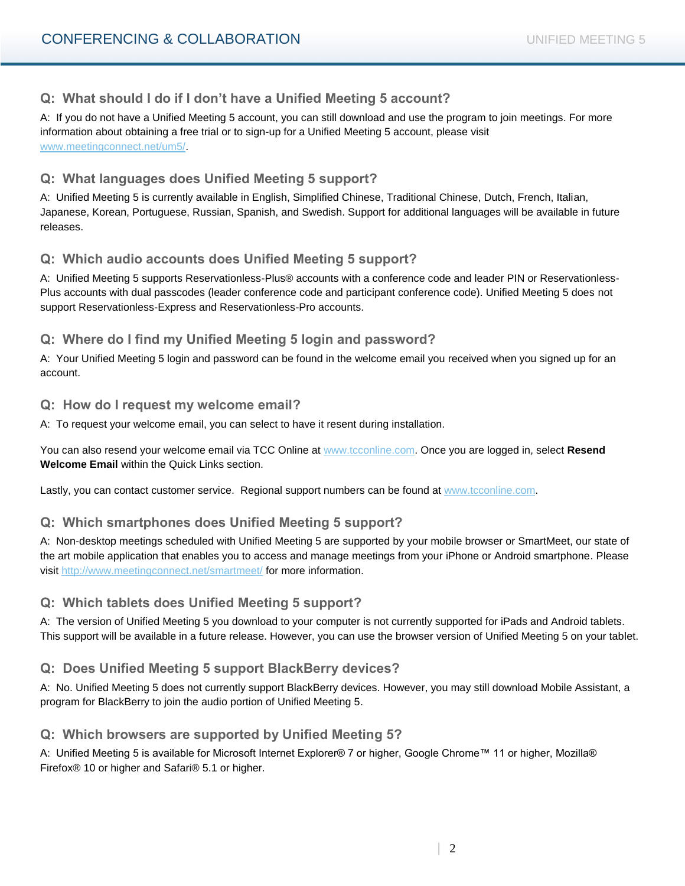## **Q: What should I do if I don't have a Unified Meeting 5 account?**

A: If you do not have a Unified Meeting 5 account, you can still download and use the program to join meetings. For more information about obtaining a free trial or to sign-up for a Unified Meeting 5 account, please visit [www.meetingconnect.net/um5/.](http://www.meetingconnect.net/um5/)

## **Q: What languages does Unified Meeting 5 support?**

A: Unified Meeting 5 is currently available in English, Simplified Chinese, Traditional Chinese, Dutch, French, Italian, Japanese, Korean, Portuguese, Russian, Spanish, and Swedish. Support for additional languages will be available in future releases.

## **Q: Which audio accounts does Unified Meeting 5 support?**

A: Unified Meeting 5 supports Reservationless-Plus® accounts with a conference code and leader PIN or Reservationless-Plus accounts with dual passcodes (leader conference code and participant conference code). Unified Meeting 5 does not support Reservationless-Express and Reservationless-Pro accounts.

## **Q: Where do I find my Unified Meeting 5 login and password?**

A: Your Unified Meeting 5 login and password can be found in the welcome email you received when you signed up for an account.

#### **Q: How do I request my welcome email?**

A: To request your welcome email, you can select to have it resent during installation.

You can also resend your welcome email via TCC Online at [www.tcconline.com.](http://www.tcconline.com/) Once you are logged in, select **Resend Welcome Email** within the Quick Links section.

Lastly, you can contact customer service. Regional support numbers can be found at [www.tcconline.com.](http://www.intercallonline.com/)

## **Q: Which smartphones does Unified Meeting 5 support?**

A: Non-desktop meetings scheduled with Unified Meeting 5 are supported by your mobile browser or SmartMeet, our state of the art mobile application that enables you to access and manage meetings from your iPhone or Android smartphone. Please visit<http://www.meetingconnect.net/smartmeet/> for more information.

## **Q: Which tablets does Unified Meeting 5 support?**

A: The version of Unified Meeting 5 you download to your computer is not currently supported for iPads and Android tablets. This support will be available in a future release. However, you can use the browser version of Unified Meeting 5 on your tablet.

## **Q: Does Unified Meeting 5 support BlackBerry devices?**

A: No. Unified Meeting 5 does not currently support BlackBerry devices. However, you may still download Mobile Assistant, a program for BlackBerry to join the audio portion of Unified Meeting 5.

### **Q: Which browsers are supported by Unified Meeting 5?**

A: Unified Meeting 5 is available for Microsoft Internet Explorer® 7 or higher, Google Chrome™ 11 or higher, Mozilla® Firefox® 10 or higher and Safari® 5.1 or higher.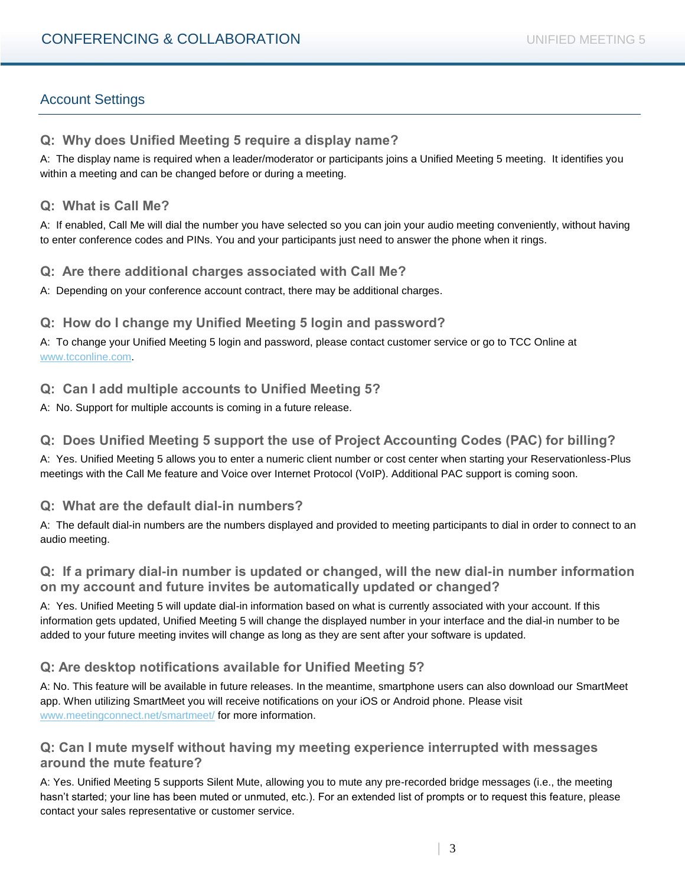# Account Settings

## **Q: Why does Unified Meeting 5 require a display name?**

A: The display name is required when a leader/moderator or participants joins a Unified Meeting 5 meeting. It identifies you within a meeting and can be changed before or during a meeting.

#### **Q: What is Call Me?**

A: If enabled, Call Me will dial the number you have selected so you can join your audio meeting conveniently, without having to enter conference codes and PINs. You and your participants just need to answer the phone when it rings.

## **Q: Are there additional charges associated with Call Me?**

A: Depending on your conference account contract, there may be additional charges.

### **Q: How do I change my Unified Meeting 5 login and password?**

A: To change your Unified Meeting 5 login and password, please contact customer service or go to TCC Online at [www.tcconline.com.](http://www.tcconline.com/)

## **Q: Can I add multiple accounts to Unified Meeting 5?**

A: No. Support for multiple accounts is coming in a future release.

## **Q: Does Unified Meeting 5 support the use of Project Accounting Codes (PAC) for billing?**

A: Yes. Unified Meeting 5 allows you to enter a numeric client number or cost center when starting your Reservationless-Plus meetings with the Call Me feature and Voice over Internet Protocol (VoIP). Additional PAC support is coming soon.

### **Q: What are the default dial-in numbers?**

A: The default dial-in numbers are the numbers displayed and provided to meeting participants to dial in order to connect to an audio meeting.

### **Q: If a primary dial-in number is updated or changed, will the new dial-in number information on my account and future invites be automatically updated or changed?**

A: Yes. Unified Meeting 5 will update dial-in information based on what is currently associated with your account. If this information gets updated, Unified Meeting 5 will change the displayed number in your interface and the dial-in number to be added to your future meeting invites will change as long as they are sent after your software is updated.

## **Q: Are desktop notifications available for Unified Meeting 5?**

A: No. This feature will be available in future releases. In the meantime, smartphone users can also download our SmartMeet app. When utilizing SmartMeet you will receive notifications on your iOS or Android phone. Please visit [www.meetingconnect.net/smartmeet/](http://www.meetingconnect.net/smartmeet/) for more information.

### **Q: Can I mute myself without having my meeting experience interrupted with messages around the mute feature?**

A: Yes. Unified Meeting 5 supports Silent Mute, allowing you to mute any pre-recorded bridge messages (i.e., the meeting hasn't started; your line has been muted or unmuted, etc.). For an extended list of prompts or to request this feature, please contact your sales representative or customer service.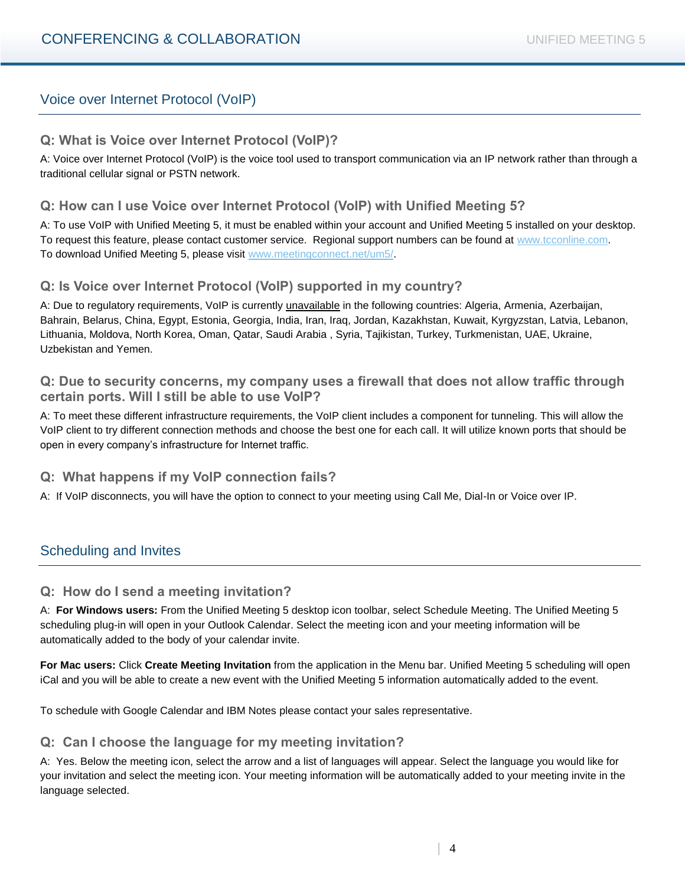## Voice over Internet Protocol (VoIP)

## **Q: What is Voice over Internet Protocol (VoIP)?**

A: Voice over Internet Protocol (VoIP) is the voice tool used to transport communication via an IP network rather than through a traditional cellular signal or PSTN network.

## **Q: How can I use Voice over Internet Protocol (VoIP) with Unified Meeting 5?**

A: To use VoIP with Unified Meeting 5, it must be enabled within your account and Unified Meeting 5 installed on your desktop. To request this feature, please contact customer service. Regional support numbers can be found at [www.tcconline.com.](http://www.tcconline.com/) To download Unified Meeting 5, please visit [www.meetingconnect.net/um5/.](http://www.meetingconnect.net/um5/)

### **Q: Is Voice over Internet Protocol (VoIP) supported in my country?**

A: Due to regulatory requirements, VoIP is currently unavailable in the following countries: Algeria, Armenia, Azerbaijan, Bahrain, Belarus, China, Egypt, Estonia, Georgia, India, Iran, Iraq, Jordan, Kazakhstan, Kuwait, Kyrgyzstan, Latvia, Lebanon, Lithuania, Moldova, North Korea, Oman, Qatar, Saudi Arabia , Syria, Tajikistan, Turkey, Turkmenistan, UAE, Ukraine, Uzbekistan and Yemen.

### **Q: Due to security concerns, my company uses a firewall that does not allow traffic through certain ports. Will I still be able to use VoIP?**

A: To meet these different infrastructure requirements, the VoIP client includes a component for tunneling. This will allow the VoIP client to try different connection methods and choose the best one for each call. It will utilize known ports that should be open in every company's infrastructure for Internet traffic.

### **Q: What happens if my VoIP connection fails?**

A: If VoIP disconnects, you will have the option to connect to your meeting using Call Me, Dial-In or Voice over IP.

## Scheduling and Invites

#### **Q: How do I send a meeting invitation?**

A: **For Windows users:** From the Unified Meeting 5 desktop icon toolbar, select Schedule Meeting. The Unified Meeting 5 scheduling plug-in will open in your Outlook Calendar. Select the meeting icon and your meeting information will be automatically added to the body of your calendar invite.

**For Mac users:** Click **Create Meeting Invitation** from the application in the Menu bar. Unified Meeting 5 scheduling will open iCal and you will be able to create a new event with the Unified Meeting 5 information automatically added to the event.

To schedule with Google Calendar and IBM Notes please contact your sales representative.

### **Q: Can I choose the language for my meeting invitation?**

A: Yes. Below the meeting icon, select the arrow and a list of languages will appear. Select the language you would like for your invitation and select the meeting icon. Your meeting information will be automatically added to your meeting invite in the language selected.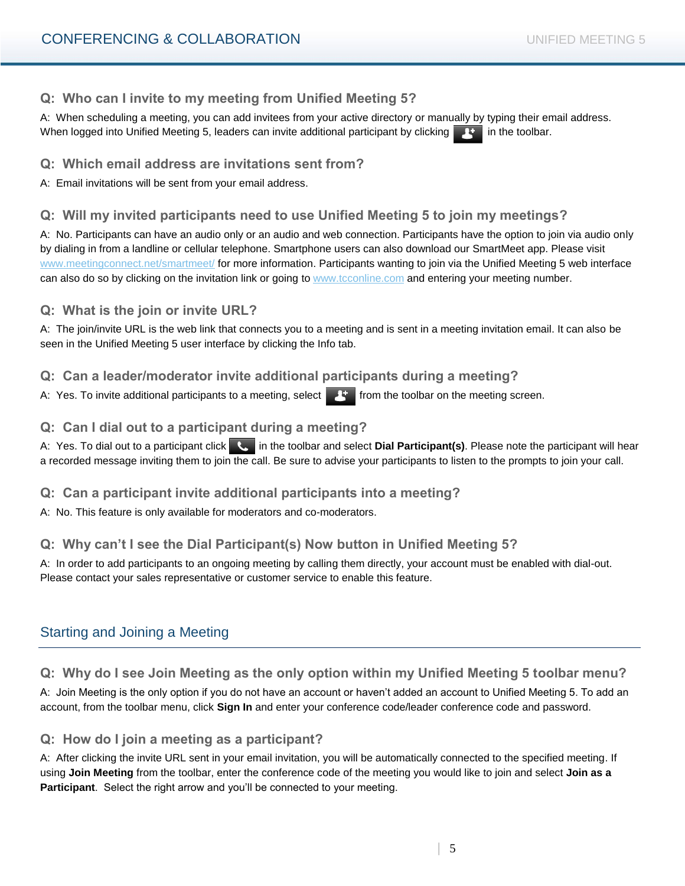## **Q: Who can I invite to my meeting from Unified Meeting 5?**

A: When scheduling a meeting, you can add invitees from your active directory or manually by typing their email address. When logged into Unified Meeting 5, leaders can invite additional participant by clicking  $\mathbb{R}^+$  in the toolbar.

**Q: Which email address are invitations sent from?**

A: Email invitations will be sent from your email address.

## **Q: Will my invited participants need to use Unified Meeting 5 to join my meetings?**

A: No. Participants can have an audio only or an audio and web connection. Participants have the option to join via audio only by dialing in from a landline or cellular telephone. Smartphone users can also download our SmartMeet app. Please visit [www.meetingconnect.net/smartmeet/](http://www.meetingconnect.net/smartmeet/) for more information. Participants wanting to join via the Unified Meeting 5 web interface can also do so by clicking on the invitation link or going to [www.tcconline.com](http://www.intercallonline.com/) and entering your meeting number.

### **Q: What is the join or invite URL?**

A: The join/invite URL is the web link that connects you to a meeting and is sent in a meeting invitation email. It can also be seen in the Unified Meeting 5 user interface by clicking the Info tab.

## **Q: Can a leader/moderator invite additional participants during a meeting?**

A: Yes. To invite additional participants to a meeting, select  $\mathbb{F}$  from the toolbar on the meeting screen.

## **Q: Can I dial out to a participant during a meeting?**

A: Yes. To dial out to a participant click **in the toolbar and select Dial Participant(s)**. Please note the participant will hear a recorded message inviting them to join the call. Be sure to advise your participants to listen to the prompts to join your call.

## **Q: Can a participant invite additional participants into a meeting?**

A: No. This feature is only available for moderators and co-moderators.

## **Q: Why can't I see the Dial Participant(s) Now button in Unified Meeting 5?**

A: In order to add participants to an ongoing meeting by calling them directly, your account must be enabled with dial-out. Please contact your sales representative or customer service to enable this feature.

# Starting and Joining a Meeting

## **Q: Why do I see Join Meeting as the only option within my Unified Meeting 5 toolbar menu?**

A: Join Meeting is the only option if you do not have an account or haven't added an account to Unified Meeting 5. To add an account, from the toolbar menu, click **Sign In** and enter your conference code/leader conference code and password.

### **Q: How do I join a meeting as a participant?**

A: After clicking the invite URL sent in your email invitation, you will be automatically connected to the specified meeting. If using **Join Meeting** from the toolbar, enter the conference code of the meeting you would like to join and select **Join as a Participant**. Select the right arrow and you'll be connected to your meeting.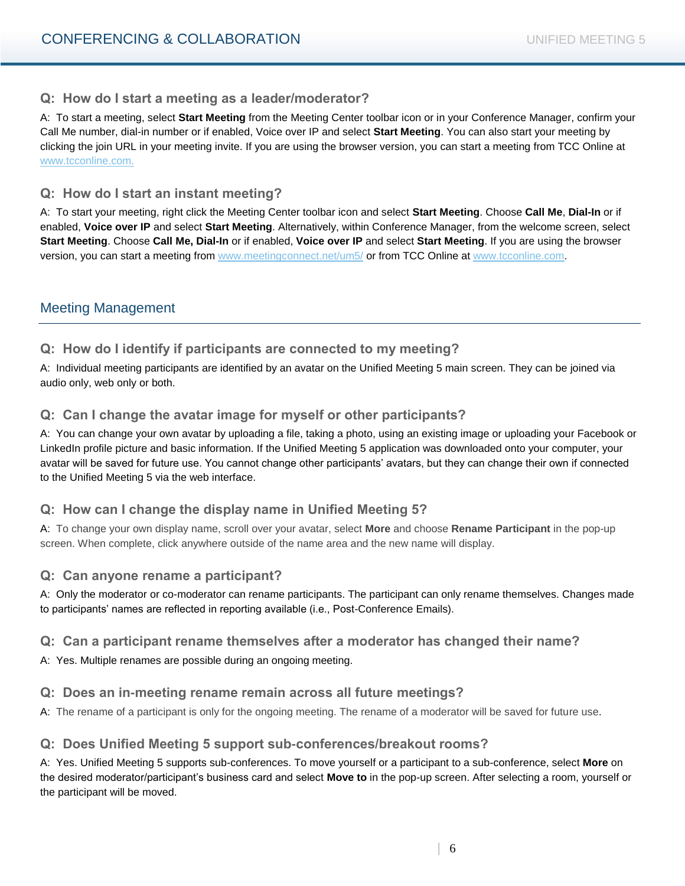### **Q: How do I start a meeting as a leader/moderator?**

A: To start a meeting, select **Start Meeting** from the Meeting Center toolbar icon or in your Conference Manager, confirm your Call Me number, dial-in number or if enabled, Voice over IP and select **Start Meeting**. You can also start your meeting by clicking the join URL in your meeting invite. If you are using the browser version, you can start a meeting from TCC Online at [www.tcconline.com.](http://www.tcconline.com/)

### **Q: How do I start an instant meeting?**

A: To start your meeting, right click the Meeting Center toolbar icon and select **Start Meeting**. Choose **Call Me**, **Dial-In** or if enabled, **Voice over IP** and select **Start Meeting**. Alternatively, within Conference Manager, from the welcome screen, select **Start Meeting**. Choose **Call Me, Dial-In** or if enabled, **Voice over IP** and select **Start Meeting**. If you are using the browser version, you can start a meeting from [www.meetingconnect.net/um5/](http://www.meetingconnect.net/um5/) or from TCC Online at [www.tcconline.com.](http://www.tcconline.com/)

## Meeting Management

### **Q: How do I identify if participants are connected to my meeting?**

A: Individual meeting participants are identified by an avatar on the Unified Meeting 5 main screen. They can be joined via audio only, web only or both.

### **Q: Can I change the avatar image for myself or other participants?**

A: You can change your own avatar by uploading a file, taking a photo, using an existing image or uploading your Facebook or LinkedIn profile picture and basic information. If the Unified Meeting 5 application was downloaded onto your computer, your avatar will be saved for future use. You cannot change other participants' avatars, but they can change their own if connected to the Unified Meeting 5 via the web interface.

### **Q: How can I change the display name in Unified Meeting 5?**

A: To change your own display name, scroll over your avatar, select **More** and choose **Rename Participant** in the pop-up screen. When complete, click anywhere outside of the name area and the new name will display.

### **Q: Can anyone rename a participant?**

A: Only the moderator or co-moderator can rename participants. The participant can only rename themselves. Changes made to participants' names are reflected in reporting available (i.e., Post-Conference Emails).

### **Q: Can a participant rename themselves after a moderator has changed their name?**

A: Yes. Multiple renames are possible during an ongoing meeting.

### **Q: Does an in-meeting rename remain across all future meetings?**

A: The rename of a participant is only for the ongoing meeting. The rename of a moderator will be saved for future use.

### **Q: Does Unified Meeting 5 support sub-conferences/breakout rooms?**

A: Yes. Unified Meeting 5 supports sub-conferences. To move yourself or a participant to a sub-conference, select **More** on the desired moderator/participant's business card and select **Move to** in the pop-up screen. After selecting a room, yourself or the participant will be moved.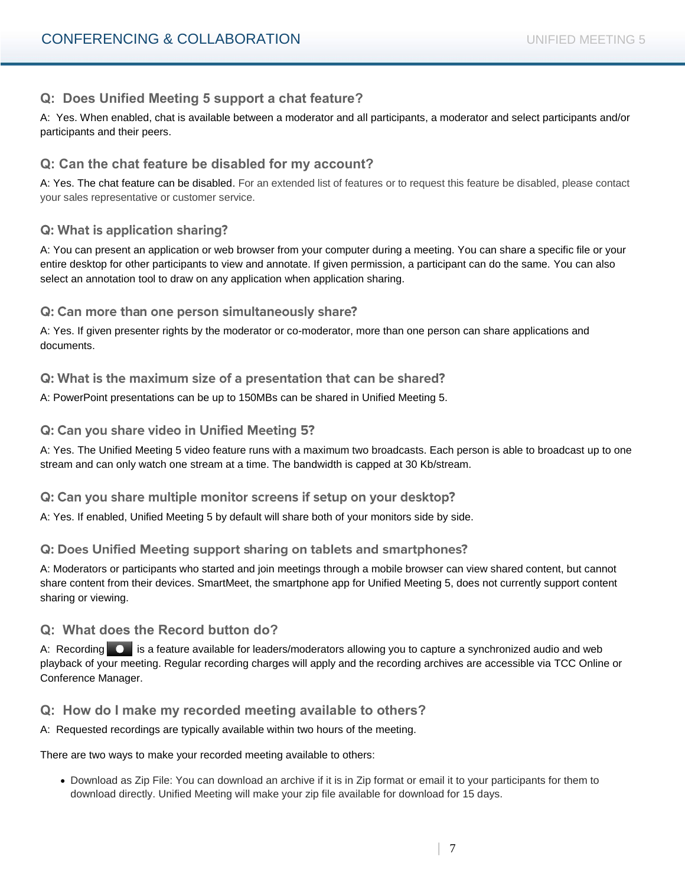## **Q: Does Unified Meeting 5 support a chat feature?**

A: Yes. When enabled, chat is available between a moderator and all participants, a moderator and select participants and/or participants and their peers.

## **Q: Can the chat feature be disabled for my account?**

A: Yes. The chat feature can be disabled. For an extended list of features or to request this feature be disabled, please contact your sales representative or customer service.

## **Q: What is application sharing?**

A: You can present an application or web browser from your computer during a meeting. You can share a specific file or your entire desktop for other participants to view and annotate. If given permission, a participant can do the same. You can also select an annotation tool to draw on any application when application sharing.

### Q: Can more than one person simultaneously share?

A: Yes. If given presenter rights by the moderator or co-moderator, more than one person can share applications and documents.

### Q: What is the maximum size of a presentation that can be shared?

A: PowerPoint presentations can be up to 150MBs can be shared in Unified Meeting 5.

#### Q: Can you share video in Unified Meeting 5?

A: Yes. The Unified Meeting 5 video feature runs with a maximum two broadcasts. Each person is able to broadcast up to one stream and can only watch one stream at a time. The bandwidth is capped at 30 Kb/stream.

### Q: Can you share multiple monitor screens if setup on your desktop?

A: Yes. If enabled, Unified Meeting 5 by default will share both of your monitors side by side.

### Q: Does Unified Meeting support sharing on tablets and smartphones?

A: Moderators or participants who started and join meetings through a mobile browser can view shared content, but cannot share content from their devices. SmartMeet, the smartphone app for Unified Meeting 5, does not currently support content sharing or viewing.

### **Q: What does the Record button do?**

A: Recording  $\bullet$  is a feature available for leaders/moderators allowing you to capture a synchronized audio and web playback of your meeting. Regular recording charges will apply and the recording archives are accessible via TCC Online or Conference Manager.

### **Q: How do I make my recorded meeting available to others?**

A: Requested recordings are typically available within two hours of the meeting.

#### There are two ways to make your recorded meeting available to others:

 Download as Zip File: You can download an archive if it is in Zip format or email it to your participants for them to download directly. Unified Meeting will make your zip file available for download for 15 days.